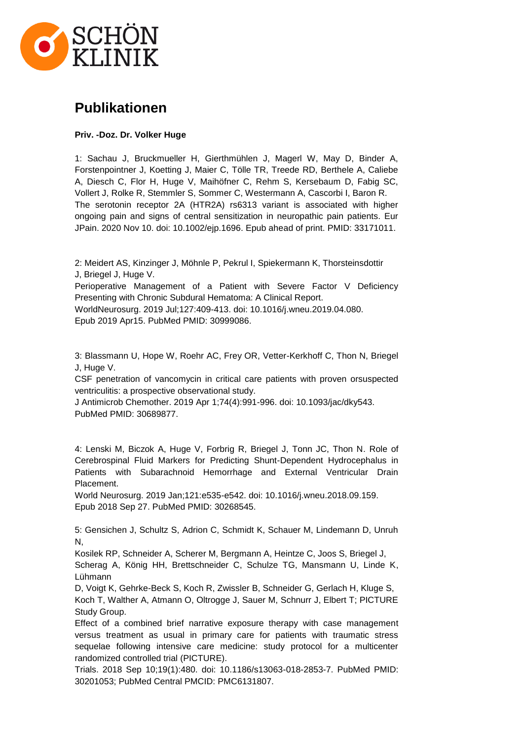

## **Publikationen**

## **Priv. -Doz. Dr. Volker Huge**

1: Sachau J, Bruckmueller H, Gierthmühlen J, Magerl W, May D, Binder A, Forstenpointner J, Koetting J, Maier C, Tölle TR, Treede RD, Berthele A, Caliebe A, Diesch C, Flor H, Huge V, Maihöfner C, Rehm S, Kersebaum D, Fabig SC, Vollert J, Rolke R, Stemmler S, Sommer C, Westermann A, Cascorbi I, Baron R. The serotonin receptor 2A (HTR2A) rs6313 variant is associated with higher ongoing pain and signs of central sensitization in neuropathic pain patients. Eur JPain. 2020 Nov 10. doi: 10.1002/ejp.1696. Epub ahead of print. PMID: 33171011.

2: Meidert AS, Kinzinger J, Möhnle P, Pekrul I, Spiekermann K, Thorsteinsdottir J, Briegel J, Huge V.

Perioperative Management of a Patient with Severe Factor V Deficiency Presenting with Chronic Subdural Hematoma: A Clinical Report.

WorldNeurosurg. 2019 Jul;127:409-413. doi: 10.1016/j.wneu.2019.04.080. Epub 2019 Apr15. PubMed PMID: 30999086.

3: Blassmann U, Hope W, Roehr AC, Frey OR, Vetter-Kerkhoff C, Thon N, Briegel J, Huge V.

CSF penetration of vancomycin in critical care patients with proven orsuspected ventriculitis: a prospective observational study.

J Antimicrob Chemother. 2019 Apr 1;74(4):991-996. doi: 10.1093/jac/dky543. PubMed PMID: 30689877.

4: Lenski M, Biczok A, Huge V, Forbrig R, Briegel J, Tonn JC, Thon N. Role of Cerebrospinal Fluid Markers for Predicting Shunt-Dependent Hydrocephalus in Patients with Subarachnoid Hemorrhage and External Ventricular Drain Placement.

World Neurosurg. 2019 Jan;121:e535-e542. doi: 10.1016/j.wneu.2018.09.159. Epub 2018 Sep 27. PubMed PMID: 30268545.

5: Gensichen J, Schultz S, Adrion C, Schmidt K, Schauer M, Lindemann D, Unruh N,

Kosilek RP, Schneider A, Scherer M, Bergmann A, Heintze C, Joos S, Briegel J,

Scherag A, König HH, Brettschneider C, Schulze TG, Mansmann U, Linde K, Lühmann

D, Voigt K, Gehrke-Beck S, Koch R, Zwissler B, Schneider G, Gerlach H, Kluge S, Koch T, Walther A, Atmann O, Oltrogge J, Sauer M, Schnurr J, Elbert T; PICTURE Study Group.

Effect of a combined brief narrative exposure therapy with case management versus treatment as usual in primary care for patients with traumatic stress sequelae following intensive care medicine: study protocol for a multicenter randomized controlled trial (PICTURE).

Trials. 2018 Sep 10;19(1):480. doi: 10.1186/s13063-018-2853-7. PubMed PMID: 30201053; PubMed Central PMCID: PMC6131807.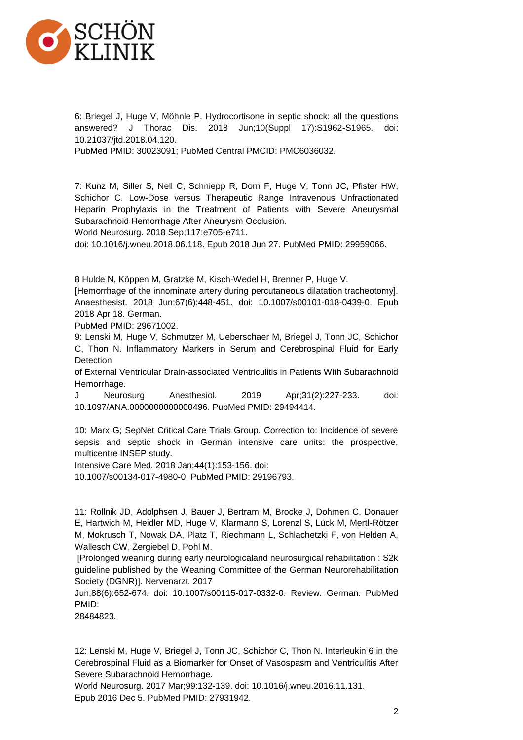

6: Briegel J, Huge V, Möhnle P. Hydrocortisone in septic shock: all the questions answered? J Thorac Dis. 2018 Jun;10(Suppl 17):S1962-S1965. doi: 10.21037/jtd.2018.04.120.

PubMed PMID: 30023091; PubMed Central PMCID: PMC6036032.

7: Kunz M, Siller S, Nell C, Schniepp R, Dorn F, Huge V, Tonn JC, Pfister HW, Schichor C. Low-Dose versus Therapeutic Range Intravenous Unfractionated Heparin Prophylaxis in the Treatment of Patients with Severe Aneurysmal Subarachnoid Hemorrhage After Aneurysm Occlusion.

World Neurosurg. 2018 Sep;117:e705-e711.

doi: 10.1016/j.wneu.2018.06.118. Epub 2018 Jun 27. PubMed PMID: 29959066.

8 Hulde N, Köppen M, Gratzke M, Kisch-Wedel H, Brenner P, Huge V.

[Hemorrhage of the innominate artery during percutaneous dilatation tracheotomy]. Anaesthesist. 2018 Jun;67(6):448-451. doi: 10.1007/s00101-018-0439-0. Epub 2018 Apr 18. German.

PubMed PMID: 29671002.

9: Lenski M, Huge V, Schmutzer M, Ueberschaer M, Briegel J, Tonn JC, Schichor C, Thon N. Inflammatory Markers in Serum and Cerebrospinal Fluid for Early **Detection** 

of External Ventricular Drain-associated Ventriculitis in Patients With Subarachnoid Hemorrhage.

J Neurosurg Anesthesiol. 2019 Apr;31(2):227-233. doi: 10.1097/ANA.0000000000000496. PubMed PMID: 29494414.

10: Marx G; SepNet Critical Care Trials Group. Correction to: Incidence of severe sepsis and septic shock in German intensive care units: the prospective, multicentre INSEP study.

Intensive Care Med. 2018 Jan;44(1):153-156. doi:

10.1007/s00134-017-4980-0. PubMed PMID: 29196793.

11: Rollnik JD, Adolphsen J, Bauer J, Bertram M, Brocke J, Dohmen C, Donauer E, Hartwich M, Heidler MD, Huge V, Klarmann S, Lorenzl S, Lück M, Mertl-Rötzer M, Mokrusch T, Nowak DA, Platz T, Riechmann L, Schlachetzki F, von Helden A, Wallesch CW, Zergiebel D, Pohl M.

[Prolonged weaning during early neurologicaland neurosurgical rehabilitation : S2k guideline published by the Weaning Committee of the German Neurorehabilitation Society (DGNR)]. Nervenarzt. 2017

Jun;88(6):652-674. doi: 10.1007/s00115-017-0332-0. Review. German. PubMed PMID:

28484823.

12: Lenski M, Huge V, Briegel J, Tonn JC, Schichor C, Thon N. Interleukin 6 in the Cerebrospinal Fluid as a Biomarker for Onset of Vasospasm and Ventriculitis After Severe Subarachnoid Hemorrhage.

World Neurosurg. 2017 Mar;99:132-139. doi: 10.1016/j.wneu.2016.11.131. Epub 2016 Dec 5. PubMed PMID: 27931942.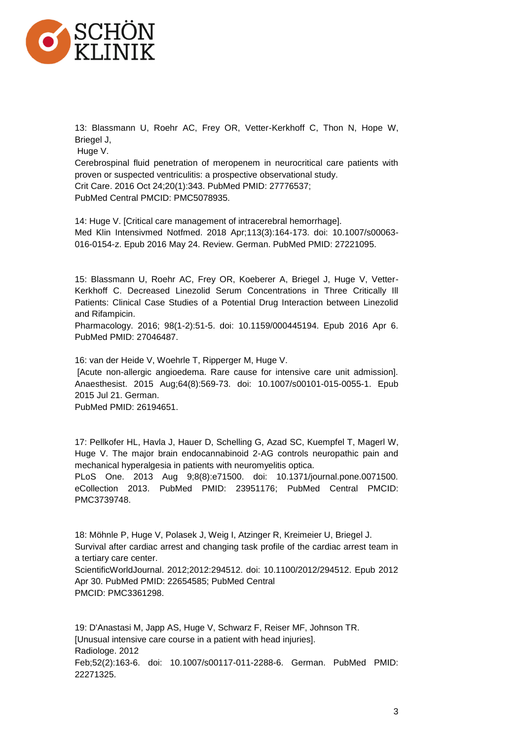

13: Blassmann U, Roehr AC, Frey OR, Vetter-Kerkhoff C, Thon N, Hope W, Briegel J,

Huge V.

Cerebrospinal fluid penetration of meropenem in neurocritical care patients with proven or suspected ventriculitis: a prospective observational study. Crit Care. 2016 Oct 24;20(1):343. PubMed PMID: 27776537; PubMed Central PMCID: PMC5078935.

14: Huge V. [Critical care management of intracerebral hemorrhage]. Med Klin Intensivmed Notfmed. 2018 Apr;113(3):164-173. doi: 10.1007/s00063- 016-0154-z. Epub 2016 May 24. Review. German. PubMed PMID: 27221095.

15: Blassmann U, Roehr AC, Frey OR, Koeberer A, Briegel J, Huge V, Vetter-Kerkhoff C. Decreased Linezolid Serum Concentrations in Three Critically Ill Patients: Clinical Case Studies of a Potential Drug Interaction between Linezolid and Rifampicin.

Pharmacology. 2016; 98(1-2):51-5. doi: 10.1159/000445194. Epub 2016 Apr 6. PubMed PMID: 27046487.

16: van der Heide V, Woehrle T, Ripperger M, Huge V.

[Acute non-allergic angioedema. Rare cause for intensive care unit admission]. Anaesthesist. 2015 Aug;64(8):569-73. doi: 10.1007/s00101-015-0055-1. Epub 2015 Jul 21. German.

PubMed PMID: 26194651.

17: Pellkofer HL, Havla J, Hauer D, Schelling G, Azad SC, Kuempfel T, Magerl W, Huge V. The major brain endocannabinoid 2-AG controls neuropathic pain and mechanical hyperalgesia in patients with neuromyelitis optica.

PLoS One. 2013 Aug 9;8(8):e71500. doi: 10.1371/journal.pone.0071500. eCollection 2013. PubMed PMID: 23951176; PubMed Central PMCID: PMC3739748.

18: Möhnle P, Huge V, Polasek J, Weig I, Atzinger R, Kreimeier U, Briegel J. Survival after cardiac arrest and changing task profile of the cardiac arrest team in a tertiary care center. ScientificWorldJournal. 2012;2012:294512. doi: 10.1100/2012/294512. Epub 2012

Apr 30. PubMed PMID: 22654585; PubMed Central PMCID: PMC3361298.

19: D'Anastasi M, Japp AS, Huge V, Schwarz F, Reiser MF, Johnson TR. [Unusual intensive care course in a patient with head injuries]. Radiologe. 2012 Feb;52(2):163-6. doi: 10.1007/s00117-011-2288-6. German. PubMed PMID: 22271325.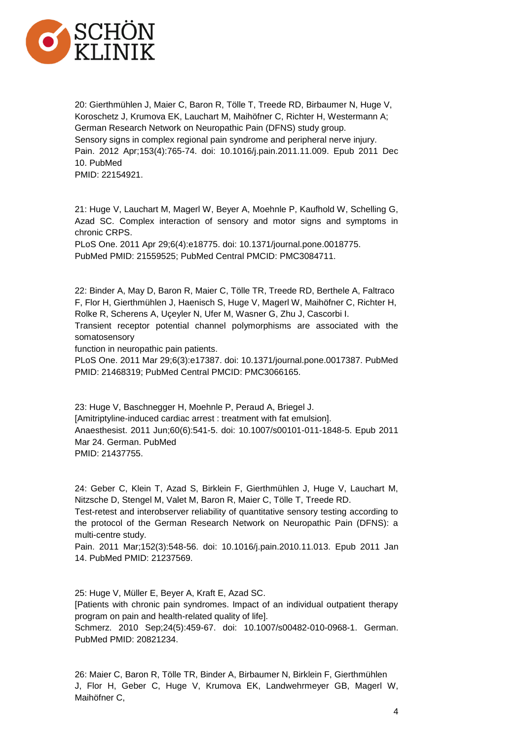

20: Gierthmühlen J, Maier C, Baron R, Tölle T, Treede RD, Birbaumer N, Huge V, Koroschetz J, Krumova EK, Lauchart M, Maihöfner C, Richter H, Westermann A; German Research Network on Neuropathic Pain (DFNS) study group. Sensory signs in complex regional pain syndrome and peripheral nerve injury. Pain. 2012 Apr;153(4):765-74. doi: 10.1016/j.pain.2011.11.009. Epub 2011 Dec 10. PubMed PMID: 22154921.

21: Huge V, Lauchart M, Magerl W, Beyer A, Moehnle P, Kaufhold W, Schelling G, Azad SC. Complex interaction of sensory and motor signs and symptoms in chronic CRPS.

PLoS One. 2011 Apr 29;6(4):e18775. doi: 10.1371/journal.pone.0018775. PubMed PMID: 21559525; PubMed Central PMCID: PMC3084711.

22: Binder A, May D, Baron R, Maier C, Tölle TR, Treede RD, Berthele A, Faltraco F, Flor H, Gierthmühlen J, Haenisch S, Huge V, Magerl W, Maihöfner C, Richter H, Rolke R, Scherens A, Uçeyler N, Ufer M, Wasner G, Zhu J, Cascorbi I.

Transient receptor potential channel polymorphisms are associated with the somatosensory

function in neuropathic pain patients.

PLoS One. 2011 Mar 29;6(3):e17387. doi: 10.1371/journal.pone.0017387. PubMed PMID: 21468319; PubMed Central PMCID: PMC3066165.

23: Huge V, Baschnegger H, Moehnle P, Peraud A, Briegel J. [Amitriptyline-induced cardiac arrest : treatment with fat emulsion]. Anaesthesist. 2011 Jun;60(6):541-5. doi: 10.1007/s00101-011-1848-5. Epub 2011 Mar 24. German. PubMed PMID: 21437755.

24: Geber C, Klein T, Azad S, Birklein F, Gierthmühlen J, Huge V, Lauchart M, Nitzsche D, Stengel M, Valet M, Baron R, Maier C, Tölle T, Treede RD.

Test-retest and interobserver reliability of quantitative sensory testing according to the protocol of the German Research Network on Neuropathic Pain (DFNS): a multi-centre study.

Pain. 2011 Mar;152(3):548-56. doi: 10.1016/j.pain.2010.11.013. Epub 2011 Jan 14. PubMed PMID: 21237569.

25: Huge V, Müller E, Beyer A, Kraft E, Azad SC. [Patients with chronic pain syndromes. Impact of an individual outpatient therapy program on pain and health-related quality of life]. Schmerz. 2010 Sep;24(5):459-67. doi: 10.1007/s00482-010-0968-1. German. PubMed PMID: 20821234.

26: Maier C, Baron R, Tölle TR, Binder A, Birbaumer N, Birklein F, Gierthmühlen J, Flor H, Geber C, Huge V, Krumova EK, Landwehrmeyer GB, Magerl W, Maihöfner C,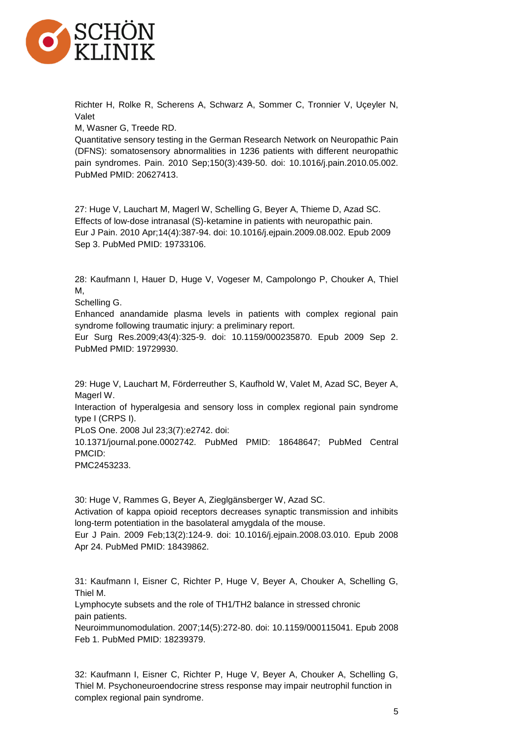

Richter H, Rolke R, Scherens A, Schwarz A, Sommer C, Tronnier V, Uçeyler N, Valet

M, Wasner G, Treede RD.

Quantitative sensory testing in the German Research Network on Neuropathic Pain (DFNS): somatosensory abnormalities in 1236 patients with different neuropathic pain syndromes. Pain. 2010 Sep;150(3):439-50. doi: 10.1016/j.pain.2010.05.002. PubMed PMID: 20627413.

27: Huge V, Lauchart M, Magerl W, Schelling G, Beyer A, Thieme D, Azad SC. Effects of low-dose intranasal (S)-ketamine in patients with neuropathic pain. Eur J Pain. 2010 Apr;14(4):387-94. doi: 10.1016/j.ejpain.2009.08.002. Epub 2009 Sep 3. PubMed PMID: 19733106.

28: Kaufmann I, Hauer D, Huge V, Vogeser M, Campolongo P, Chouker A, Thiel M,

Schelling G.

Enhanced anandamide plasma levels in patients with complex regional pain syndrome following traumatic injury: a preliminary report.

Eur Surg Res.2009;43(4):325-9. doi: 10.1159/000235870. Epub 2009 Sep 2. PubMed PMID: 19729930.

29: Huge V, Lauchart M, Förderreuther S, Kaufhold W, Valet M, Azad SC, Beyer A, Magerl W.

Interaction of hyperalgesia and sensory loss in complex regional pain syndrome type I (CRPS I).

PLoS One. 2008 Jul 23;3(7):e2742. doi:

10.1371/journal.pone.0002742. PubMed PMID: 18648647; PubMed Central PMCID:

PMC2453233.

30: Huge V, Rammes G, Beyer A, Zieglgänsberger W, Azad SC. Activation of kappa opioid receptors decreases synaptic transmission and inhibits long-term potentiation in the basolateral amygdala of the mouse. Eur J Pain. 2009 Feb;13(2):124-9. doi: 10.1016/j.ejpain.2008.03.010. Epub 2008 Apr 24. PubMed PMID: 18439862.

31: Kaufmann I, Eisner C, Richter P, Huge V, Beyer A, Chouker A, Schelling G, Thiel M.

Lymphocyte subsets and the role of TH1/TH2 balance in stressed chronic pain patients.

Neuroimmunomodulation. 2007;14(5):272-80. doi: 10.1159/000115041. Epub 2008 Feb 1. PubMed PMID: 18239379.

32: Kaufmann I, Eisner C, Richter P, Huge V, Beyer A, Chouker A, Schelling G, Thiel M. Psychoneuroendocrine stress response may impair neutrophil function in complex regional pain syndrome.